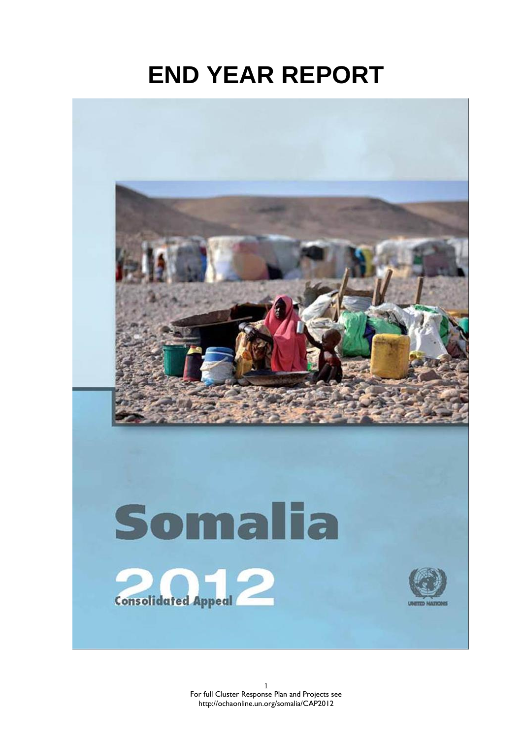# **END YEAR REPORT**

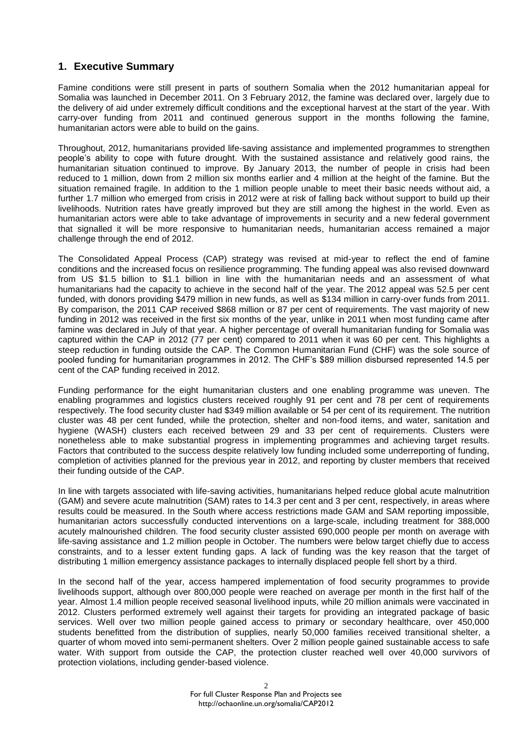# **1. Executive Summary**

Famine conditions were still present in parts of southern Somalia when the 2012 humanitarian appeal for Somalia was launched in December 2011. On 3 February 2012, the famine was declared over, largely due to the delivery of aid under extremely difficult conditions and the exceptional harvest at the start of the year. With carry-over funding from 2011 and continued generous support in the months following the famine, humanitarian actors were able to build on the gains.

Throughout, 2012, humanitarians provided life-saving assistance and implemented programmes to strengthen people's ability to cope with future drought. With the sustained assistance and relatively good rains, the humanitarian situation continued to improve. By January 2013, the number of people in crisis had been reduced to 1 million, down from 2 million six months earlier and 4 million at the height of the famine. But the situation remained fragile. In addition to the 1 million people unable to meet their basic needs without aid, a further 1.7 million who emerged from crisis in 2012 were at risk of falling back without support to build up their livelihoods. Nutrition rates have greatly improved but they are still among the highest in the world. Even as humanitarian actors were able to take advantage of improvements in security and a new federal government that signalled it will be more responsive to humanitarian needs, humanitarian access remained a major challenge through the end of 2012.

The Consolidated Appeal Process (CAP) strategy was revised at mid-year to reflect the end of famine conditions and the increased focus on resilience programming. The funding appeal was also revised downward from US \$1.5 billion to \$1.1 billion in line with the humanitarian needs and an assessment of what humanitarians had the capacity to achieve in the second half of the year. The 2012 appeal was 52.5 per cent funded, with donors providing \$479 million in new funds, as well as \$134 million in carry-over funds from 2011. By comparison, the 2011 CAP received \$868 million or 87 per cent of requirements. The vast majority of new funding in 2012 was received in the first six months of the year, unlike in 2011 when most funding came after famine was declared in July of that year. A higher percentage of overall humanitarian funding for Somalia was captured within the CAP in 2012 (77 per cent) compared to 2011 when it was 60 per cent. This highlights a steep reduction in funding outside the CAP. The Common Humanitarian Fund (CHF) was the sole source of pooled funding for humanitarian programmes in 2012. The CHF's \$89 million disbursed represented 14.5 per cent of the CAP funding received in 2012.

Funding performance for the eight humanitarian clusters and one enabling programme was uneven. The enabling programmes and logistics clusters received roughly 91 per cent and 78 per cent of requirements respectively. The food security cluster had \$349 million available or 54 per cent of its requirement. The nutrition cluster was 48 per cent funded, while the protection, shelter and non-food items, and water, sanitation and hygiene (WASH) clusters each received between 29 and 33 per cent of requirements. Clusters were nonetheless able to make substantial progress in implementing programmes and achieving target results. Factors that contributed to the success despite relatively low funding included some underreporting of funding, completion of activities planned for the previous year in 2012, and reporting by cluster members that received their funding outside of the CAP.

In line with targets associated with life-saving activities, humanitarians helped reduce global acute malnutrition (GAM) and severe acute malnutrition (SAM) rates to 14.3 per cent and 3 per cent, respectively, in areas where results could be measured. In the South where access restrictions made GAM and SAM reporting impossible, humanitarian actors successfully conducted interventions on a large-scale, including treatment for 388,000 acutely malnourished children. The food security cluster assisted 690,000 people per month on average with life-saving assistance and 1.2 million people in October. The numbers were below target chiefly due to access constraints, and to a lesser extent funding gaps. A lack of funding was the key reason that the target of distributing 1 million emergency assistance packages to internally displaced people fell short by a third.

In the second half of the year, access hampered implementation of food security programmes to provide livelihoods support, although over 800,000 people were reached on average per month in the first half of the year. Almost 1.4 million people received seasonal livelihood inputs, while 20 million animals were vaccinated in 2012. Clusters performed extremely well against their targets for providing an integrated package of basic services. Well over two million people gained access to primary or secondary healthcare, over 450,000 students benefitted from the distribution of supplies, nearly 50,000 families received transitional shelter, a quarter of whom moved into semi-permanent shelters. Over 2 million people gained sustainable access to safe water. With support from outside the CAP, the protection cluster reached well over 40,000 survivors of protection violations, including gender-based violence.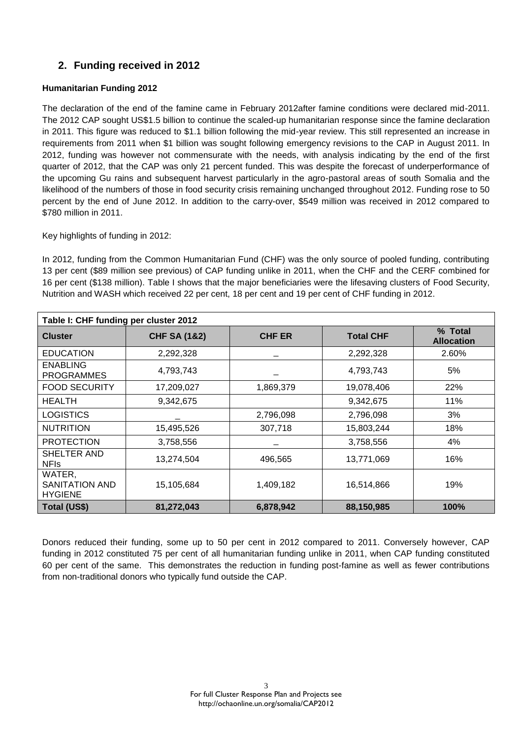# **2. Funding received in 2012**

# **Humanitarian Funding 2012**

The declaration of the end of the famine came in February 2012after famine conditions were declared mid-2011. The 2012 CAP sought US\$1.5 billion to continue the scaled-up humanitarian response since the famine declaration in 2011. This figure was reduced to \$1.1 billion following the mid-year review. This still represented an increase in requirements from 2011 when \$1 billion was sought following emergency revisions to the CAP in August 2011. In 2012, funding was however not commensurate with the needs, with analysis indicating by the end of the first quarter of 2012, that the CAP was only 21 percent funded. This was despite the forecast of underperformance of the upcoming Gu rains and subsequent harvest particularly in the agro-pastoral areas of south Somalia and the likelihood of the numbers of those in food security crisis remaining unchanged throughout 2012. Funding rose to 50 percent by the end of June 2012. In addition to the carry-over, \$549 million was received in 2012 compared to \$780 million in 2011.

Key highlights of funding in 2012:

In 2012, funding from the Common Humanitarian Fund (CHF) was the only source of pooled funding, contributing 13 per cent (\$89 million see previous) of CAP funding unlike in 2011, when the CHF and the CERF combined for 16 per cent (\$138 million). Table I shows that the major beneficiaries were the lifesaving clusters of Food Security, Nutrition and WASH which received 22 per cent, 18 per cent and 19 per cent of CHF funding in 2012.

| Table I: CHF funding per cluster 2012      |                         |               |                  |                              |  |
|--------------------------------------------|-------------------------|---------------|------------------|------------------------------|--|
| <b>Cluster</b>                             | <b>CHF SA (1&amp;2)</b> | <b>CHF ER</b> | <b>Total CHF</b> | % Total<br><b>Allocation</b> |  |
| <b>EDUCATION</b>                           | 2,292,328               |               | 2,292,328        | 2.60%                        |  |
| <b>ENABLING</b><br><b>PROGRAMMES</b>       | 4,793,743               |               | 4,793,743        | 5%                           |  |
| <b>FOOD SECURITY</b>                       | 17,209,027              | 1,869,379     | 19,078,406       | 22%                          |  |
| <b>HEALTH</b>                              | 9,342,675               |               | 9,342,675        | 11%                          |  |
| <b>LOGISTICS</b>                           |                         | 2,796,098     | 2,796,098        | 3%                           |  |
| <b>NUTRITION</b>                           | 15,495,526              | 307,718       | 15,803,244       | 18%                          |  |
| <b>PROTECTION</b>                          | 3,758,556               |               | 3,758,556        | 4%                           |  |
| SHELTER AND<br><b>NFIS</b>                 | 13,274,504              | 496,565       | 13,771,069       | 16%                          |  |
| WATER.<br>SANITATION AND<br><b>HYGIENE</b> | 15,105,684              | 1,409,182     | 16,514,866       | 19%                          |  |
| Total (US\$)                               | 81,272,043              | 6,878,942     | 88,150,985       | 100%                         |  |

Donors reduced their funding, some up to 50 per cent in 2012 compared to 2011. Conversely however, CAP funding in 2012 constituted 75 per cent of all humanitarian funding unlike in 2011, when CAP funding constituted 60 per cent of the same. This demonstrates the reduction in funding post-famine as well as fewer contributions from non-traditional donors who typically fund outside the CAP.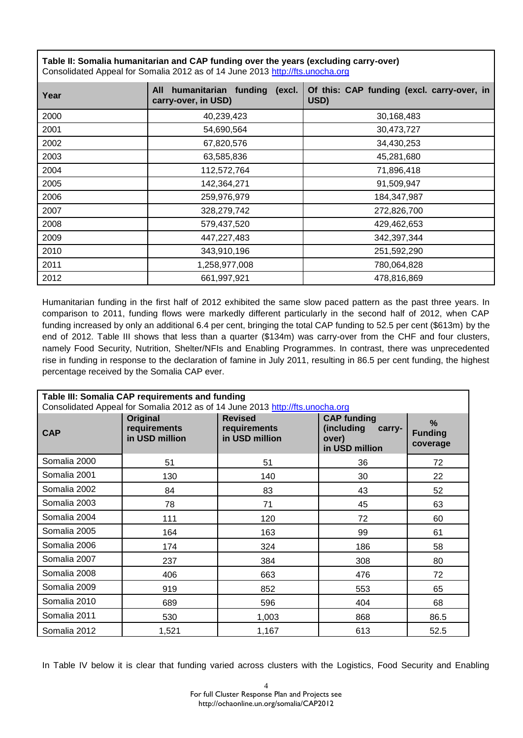**Table II: Somalia humanitarian and CAP funding over the years (excluding carry-over)** Consolidated Appeal for Somalia 2012 as of 14 June 2013 [http://fts.unocha.org](http://fts.unocha.org/)

| Year | All<br>humanitarian funding<br>(excl.<br>carry-over, in USD) | Of this: CAP funding (excl. carry-over, in<br>USD) |  |
|------|--------------------------------------------------------------|----------------------------------------------------|--|
| 2000 | 40,239,423                                                   | 30,168,483                                         |  |
| 2001 | 54,690,564                                                   | 30,473,727                                         |  |
| 2002 | 67,820,576                                                   | 34,430,253                                         |  |
| 2003 | 63,585,836                                                   | 45,281,680                                         |  |
| 2004 | 112,572,764                                                  | 71,896,418                                         |  |
| 2005 | 142,364,271                                                  | 91,509,947                                         |  |
| 2006 | 259,976,979                                                  | 184,347,987                                        |  |
| 2007 | 328,279,742                                                  | 272,826,700                                        |  |
| 2008 | 579,437,520<br>429,462,653                                   |                                                    |  |
| 2009 | 447,227,483                                                  | 342,397,344                                        |  |
| 2010 | 343,910,196<br>251,592,290                                   |                                                    |  |
| 2011 | 1,258,977,008                                                | 780,064,828                                        |  |
| 2012 | 661,997,921                                                  | 478,816,869                                        |  |

Humanitarian funding in the first half of 2012 exhibited the same slow paced pattern as the past three years. In comparison to 2011, funding flows were markedly different particularly in the second half of 2012, when CAP funding increased by only an additional 6.4 per cent, bringing the total CAP funding to 52.5 per cent (\$613m) by the end of 2012. Table III shows that less than a quarter (\$134m) was carry-over from the CHF and four clusters, namely Food Security, Nutrition, Shelter/NFIs and Enabling Programmes. In contrast, there was unprecedented rise in funding in response to the declaration of famine in July 2011, resulting in 86.5 per cent funding, the highest percentage received by the Somalia CAP ever.

| Table III: Somalia CAP requirements and funding<br>Consolidated Appeal for Somalia 2012 as of 14 June 2013 http://fts.unocha.org |                                                   |                                                                                                                           |     |                                    |  |
|----------------------------------------------------------------------------------------------------------------------------------|---------------------------------------------------|---------------------------------------------------------------------------------------------------------------------------|-----|------------------------------------|--|
| <b>CAP</b>                                                                                                                       | <b>Original</b><br>requirements<br>in USD million | <b>Revised</b><br><b>CAP funding</b><br>(including<br>requirements<br>carry-<br>in USD million<br>over)<br>in USD million |     | $\%$<br><b>Funding</b><br>coverage |  |
| Somalia 2000                                                                                                                     | 51                                                | 51                                                                                                                        | 36  | 72                                 |  |
| Somalia 2001                                                                                                                     | 130                                               | 140                                                                                                                       | 30  | 22                                 |  |
| Somalia 2002                                                                                                                     | 84                                                | 83                                                                                                                        | 43  | 52                                 |  |
| Somalia 2003                                                                                                                     | 78                                                | 71                                                                                                                        | 45  | 63                                 |  |
| Somalia 2004                                                                                                                     | 111                                               | 120                                                                                                                       | 72  | 60                                 |  |
| Somalia 2005                                                                                                                     | 164                                               | 163                                                                                                                       | 99  | 61                                 |  |
| Somalia 2006                                                                                                                     | 174                                               | 324                                                                                                                       | 186 | 58                                 |  |
| Somalia 2007                                                                                                                     | 237                                               | 384                                                                                                                       | 308 | 80                                 |  |
| Somalia 2008                                                                                                                     | 406                                               | 663                                                                                                                       | 476 | 72                                 |  |
| Somalia 2009                                                                                                                     | 919                                               | 852                                                                                                                       | 553 | 65                                 |  |
| Somalia 2010                                                                                                                     | 689                                               | 596                                                                                                                       | 404 | 68                                 |  |
| Somalia 2011                                                                                                                     | 530                                               | 1,003                                                                                                                     | 868 | 86.5                               |  |
| Somalia 2012                                                                                                                     | 1,521                                             | 1,167                                                                                                                     | 613 | 52.5                               |  |

In Table IV below it is clear that funding varied across clusters with the Logistics, Food Security and Enabling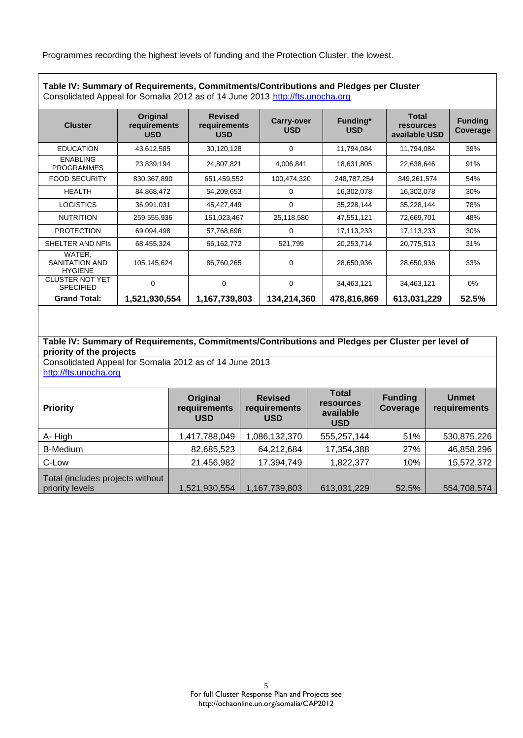Programmes recording the highest levels of funding and the Protection Cluster, the lowest.

| Consolidated Appeal for Somalia 2012 as of 14 June 2013 http://fts.unocha.org |                                        |                                              |                          |                        |                                                   |                            |
|-------------------------------------------------------------------------------|----------------------------------------|----------------------------------------------|--------------------------|------------------------|---------------------------------------------------|----------------------------|
| <b>Cluster</b>                                                                | Original<br>requirements<br><b>USD</b> | <b>Revised</b><br>requirements<br><b>USD</b> | Carry-over<br><b>USD</b> | Funding*<br><b>USD</b> | <b>Total</b><br><b>resources</b><br>available USD | <b>Funding</b><br>Coverage |
| <b>EDUCATION</b>                                                              | 43,612,585                             | 30,120,128                                   | 0                        | 11,794,084             | 11,794,084                                        | 39%                        |
| <b>ENABLING</b><br><b>PROGRAMMES</b>                                          | 23,839,194                             | 24,807,821                                   | 4,006,841                | 18,631,805             | 22,638,646                                        | 91%                        |
| <b>FOOD SECURITY</b>                                                          | 830,367,890                            | 651,459,552                                  | 100,474,320              | 248,787,254            | 349,261,574                                       | 54%                        |
| <b>HEALTH</b>                                                                 | 84,868,472                             | 54,209,653                                   | 0                        | 16,302,078             | 16,302,078                                        | 30%                        |
| <b>LOGISTICS</b>                                                              | 36,991,031                             | 45,427,449                                   | 0                        | 35,228,144             | 35,228,144                                        | 78%                        |
| <b>NUTRITION</b>                                                              | 259,555,936                            | 151,023,467                                  | 25,118,580               | 47,551,121             | 72,669,701                                        | 48%                        |
| <b>PROTECTION</b>                                                             | 69,094,498                             | 57,768,696                                   | 0                        | 17,113,233             | 17,113,233                                        | 30%                        |
| SHELTER AND NFIS                                                              | 68,455,324                             | 66,162,772                                   | 521,799                  | 20,253,714             | 20,775,513                                        | 31%                        |
| WATER.<br>SANITATION AND<br><b>HYGIENE</b>                                    | 105,145,624                            | 86,760,265                                   | 0                        | 28,650,936             | 28,650,936                                        | 33%                        |
| <b>CLUSTER NOT YET</b><br><b>SPECIFIED</b>                                    | 0                                      | 0                                            | 0                        | 34,463,121             | 34,463,121                                        | $0\%$                      |
| <b>Grand Total:</b>                                                           | 1,521,930,554                          | 1,167,739,803                                | 134,214,360              | 478,816,869            | 613,031,229                                       | 52.5%                      |

**Table IV: Summary of Requirements, Commitments/Contributions and Pledges per Cluster**

## **Table IV: Summary of Requirements, Commitments/Contributions and Pledges per Cluster per level of priority of the projects**

Consolidated Appeal for Somalia 2012 as of 14 June 2013 [http://fts.unocha.org](http://fts.unocha.org/)

| <b>Priority</b>                                     | Original<br>requirements<br><b>USD</b> | <b>Revised</b><br>requirements<br><b>USD</b> | <b>Total</b><br><b>resources</b><br>available<br><b>USD</b> | <b>Funding</b><br>Coverage | <b>Unmet</b><br>requirements |
|-----------------------------------------------------|----------------------------------------|----------------------------------------------|-------------------------------------------------------------|----------------------------|------------------------------|
| A-High                                              | 1,417,788,049                          | 1,086,132,370                                | 555,257,144                                                 | 51%                        | 530,875,226                  |
| <b>B-Medium</b>                                     | 82,685,523                             | 64,212,684                                   | 17,354,388                                                  | 27%                        | 46,858,296                   |
| C-Low                                               | 21,456,982                             | 17,394,749                                   | 1,822,377                                                   | 10%                        | 15,572,372                   |
| Total (includes projects without<br>priority levels | 1,521,930,554                          | 1,167,739,803                                | 613,031,229                                                 | 52.5%                      | 554,708,574                  |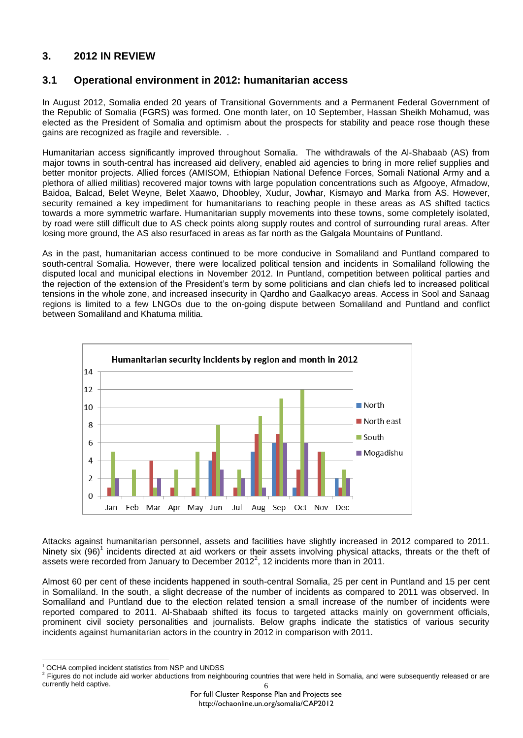# **3. 2012 IN REVIEW**

# **3.1 Operational environment in 2012: humanitarian access**

In August 2012, Somalia ended 20 years of Transitional Governments and a Permanent Federal Government of the Republic of Somalia (FGRS) was formed. One month later, on 10 September, Hassan Sheikh Mohamud, was elected as the President of Somalia and optimism about the prospects for stability and peace rose though these gains are recognized as fragile and reversible. .

Humanitarian access significantly improved throughout Somalia. The withdrawals of the Al-Shabaab (AS) from major towns in south-central has increased aid delivery, enabled aid agencies to bring in more relief supplies and better monitor projects. Allied forces (AMISOM, Ethiopian National Defence Forces, Somali National Army and a plethora of allied militias) recovered major towns with large population concentrations such as Afgooye, Afmadow, Baidoa, Balcad, Belet Weyne, Belet Xaawo, Dhoobley, Xudur, Jowhar, Kismayo and Marka from AS. However, security remained a key impediment for humanitarians to reaching people in these areas as AS shifted tactics towards a more symmetric warfare. Humanitarian supply movements into these towns, some completely isolated, by road were still difficult due to AS check points along supply routes and control of surrounding rural areas. After losing more ground, the AS also resurfaced in areas as far north as the Galgala Mountains of Puntland.

As in the past, humanitarian access continued to be more conducive in Somaliland and Puntland compared to south-central Somalia. However, there were localized political tension and incidents in Somaliland following the disputed local and municipal elections in November 2012. In Puntland, competition between political parties and the rejection of the extension of the President's term by some politicians and clan chiefs led to increased political tensions in the whole zone, and increased insecurity in Qardho and Gaalkacyo areas. Access in Sool and Sanaag regions is limited to a few LNGOs due to the on-going dispute between Somaliland and Puntland and conflict between Somaliland and Khatuma militia.



Attacks against humanitarian personnel, assets and facilities have slightly increased in 2012 compared to 2011. Ninety six  $(96)^1$  incidents directed at aid workers or their assets involving physical attacks, threats or the theft of assets were recorded from January to December 2012<sup>2</sup>, 12 incidents more than in 2011.

Almost 60 per cent of these incidents happened in south-central Somalia, 25 per cent in Puntland and 15 per cent in Somaliland. In the south, a slight decrease of the number of incidents as compared to 2011 was observed. In Somaliland and Puntland due to the election related tension a small increase of the number of incidents were reported compared to 2011. Al-Shabaab shifted its focus to targeted attacks mainly on government officials, prominent civil society personalities and journalists. Below graphs indicate the statistics of various security incidents against humanitarian actors in the country in 2012 in comparison with 2011.

 $\overline{a}$ OCHA compiled incident statistics from NSP and UNDSS

<sup>6</sup> <sup>2</sup> Figures do not include aid worker abductions from neighbouring countries that were held in Somalia, and were subsequently released or are currently held captive.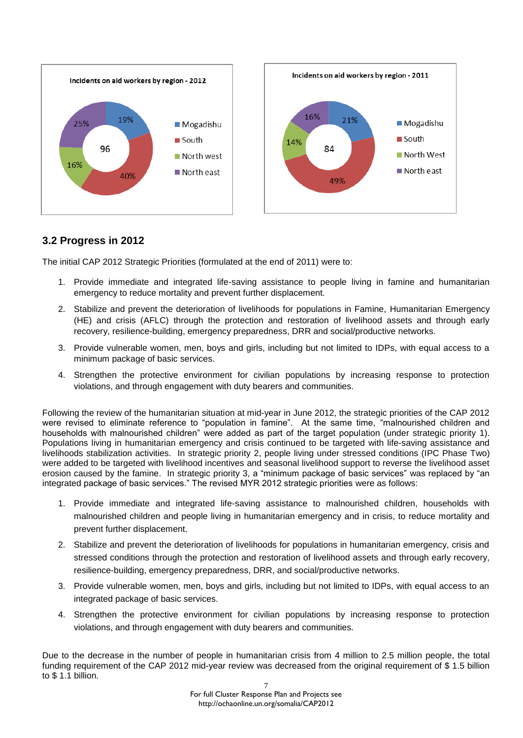

# **3.2 Progress in 2012**

The initial CAP 2012 Strategic Priorities (formulated at the end of 2011) were to:

- 1. Provide immediate and integrated life-saving assistance to people living in famine and humanitarian emergency to reduce mortality and prevent further displacement.
- 2. Stabilize and prevent the deterioration of livelihoods for populations in Famine, Humanitarian Emergency (HE) and crisis (AFLC) through the protection and restoration of livelihood assets and through early recovery, resilience-building, emergency preparedness, DRR and social/productive networks.
- 3. Provide vulnerable women, men, boys and girls, including but not limited to IDPs, with equal access to a minimum package of basic services.
- 4. Strengthen the protective environment for civilian populations by increasing response to protection violations, and through engagement with duty bearers and communities.

Following the review of the humanitarian situation at mid-year in June 2012, the strategic priorities of the CAP 2012 were revised to eliminate reference to "population in famine". At the same time, "malnourished children and households with malnourished children" were added as part of the target population (under strategic priority 1). Populations living in humanitarian emergency and crisis continued to be targeted with life-saving assistance and livelihoods stabilization activities. In strategic priority 2, people living under stressed conditions (IPC Phase Two) were added to be targeted with livelihood incentives and seasonal livelihood support to reverse the livelihood asset erosion caused by the famine. In strategic priority 3, a "minimum package of basic services" was replaced by "an integrated package of basic services." The revised MYR 2012 strategic priorities were as follows:

- 1. Provide immediate and integrated life-saving assistance to malnourished children, households with malnourished children and people living in humanitarian emergency and in crisis, to reduce mortality and prevent further displacement.
- 2. Stabilize and prevent the deterioration of livelihoods for populations in humanitarian emergency, crisis and stressed conditions through the protection and restoration of livelihood assets and through early recovery, resilience-building, emergency preparedness, DRR, and social/productive networks.
- 3. Provide vulnerable women, men, boys and girls, including but not limited to IDPs, with equal access to an integrated package of basic services.
- 4. Strengthen the protective environment for civilian populations by increasing response to protection violations, and through engagement with duty bearers and communities.

Due to the decrease in the number of people in humanitarian crisis from 4 million to 2.5 million people, the total funding requirement of the CAP 2012 mid-year review was decreased from the original requirement of \$ 1.5 billion to \$ 1.1 billion.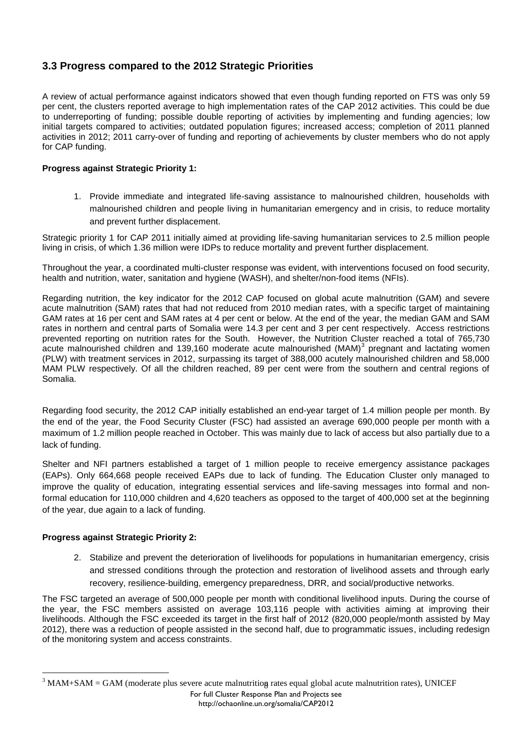# **3.3 Progress compared to the 2012 Strategic Priorities**

A review of actual performance against indicators showed that even though funding reported on FTS was only 59 per cent, the clusters reported average to high implementation rates of the CAP 2012 activities. This could be due to underreporting of funding; possible double reporting of activities by implementing and funding agencies; low initial targets compared to activities; outdated population figures; increased access; completion of 2011 planned activities in 2012; 2011 carry-over of funding and reporting of achievements by cluster members who do not apply for CAP funding.

## **Progress against Strategic Priority 1:**

1. Provide immediate and integrated life-saving assistance to malnourished children, households with malnourished children and people living in humanitarian emergency and in crisis, to reduce mortality and prevent further displacement.

Strategic priority 1 for CAP 2011 initially aimed at providing life-saving humanitarian services to 2.5 million people living in crisis, of which 1.36 million were IDPs to reduce mortality and prevent further displacement.

Throughout the year, a coordinated multi-cluster response was evident, with interventions focused on food security, health and nutrition, water, sanitation and hygiene (WASH), and shelter/non-food items (NFIs).

Regarding nutrition, the key indicator for the 2012 CAP focused on global acute malnutrition (GAM) and severe acute malnutrition (SAM) rates that had not reduced from 2010 median rates, with a specific target of maintaining GAM rates at 16 per cent and SAM rates at 4 per cent or below. At the end of the year, the median GAM and SAM rates in northern and central parts of Somalia were 14.3 per cent and 3 per cent respectively. Access restrictions prevented reporting on nutrition rates for the South. However, the Nutrition Cluster reached a total of 765,730 acute malnourished children and 139,160 moderate acute malnourished (MAM)<sup>3</sup> pregnant and lactating women (PLW) with treatment services in 2012, surpassing its target of 388,000 acutely malnourished children and 58,000 MAM PLW respectively. Of all the children reached, 89 per cent were from the southern and central regions of Somalia.

Regarding food security, the 2012 CAP initially established an end-year target of 1.4 million people per month. By the end of the year, the Food Security Cluster (FSC) had assisted an average 690,000 people per month with a maximum of 1.2 million people reached in October. This was mainly due to lack of access but also partially due to a lack of funding.

Shelter and NFI partners established a target of 1 million people to receive emergency assistance packages (EAPs). Only 664,668 people received EAPs due to lack of funding. The Education Cluster only managed to improve the quality of education, integrating essential services and life-saving messages into formal and nonformal education for 110,000 children and 4,620 teachers as opposed to the target of 400,000 set at the beginning of the year, due again to a lack of funding.

#### **Progress against Strategic Priority 2:**

 $\overline{a}$ 

2. Stabilize and prevent the deterioration of livelihoods for populations in humanitarian emergency, crisis and stressed conditions through the protection and restoration of livelihood assets and through early recovery, resilience-building, emergency preparedness, DRR, and social/productive networks.

The FSC targeted an average of 500,000 people per month with conditional livelihood inputs. During the course of the year, the FSC members assisted on average 103,116 people with activities aiming at improving their livelihoods. Although the FSC exceeded its target in the first half of 2012 (820,000 people/month assisted by May 2012), there was a reduction of people assisted in the second half, due to programmatic issues, including redesign of the monitoring system and access constraints.

 $3$  MAM+SAM = GAM (moderate plus severe acute malnutrition rates equal global acute malnutrition rates), UNICEF For full Cluster Response Plan and Projects see http://ochaonline.un.org/somalia/CAP2012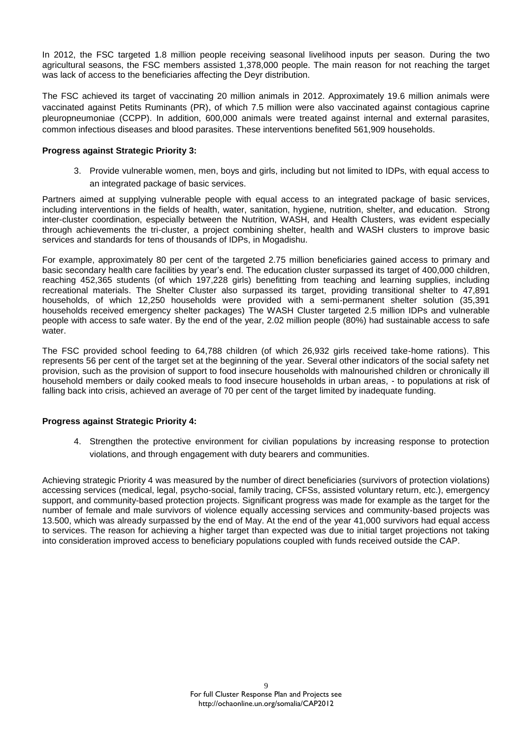In 2012, the FSC targeted 1.8 million people receiving seasonal livelihood inputs per season. During the two agricultural seasons, the FSC members assisted 1,378,000 people. The main reason for not reaching the target was lack of access to the beneficiaries affecting the Deyr distribution.

The FSC achieved its target of vaccinating 20 million animals in 2012. Approximately 19.6 million animals were vaccinated against Petits Ruminants (PR), of which 7.5 million were also vaccinated against contagious caprine pleuropneumoniae (CCPP). In addition, 600,000 animals were treated against internal and external parasites, common infectious diseases and blood parasites. These interventions benefited 561,909 households.

#### **Progress against Strategic Priority 3:**

3. Provide vulnerable women, men, boys and girls, including but not limited to IDPs, with equal access to an integrated package of basic services.

Partners aimed at supplying vulnerable people with equal access to an integrated package of basic services, including interventions in the fields of health, water, sanitation, hygiene, nutrition, shelter, and education. Strong inter-cluster coordination, especially between the Nutrition, WASH, and Health Clusters, was evident especially through achievements the tri-cluster, a project combining shelter, health and WASH clusters to improve basic services and standards for tens of thousands of IDPs, in Mogadishu.

For example, approximately 80 per cent of the targeted 2.75 million beneficiaries gained access to primary and basic secondary health care facilities by year's end. The education cluster surpassed its target of 400,000 children, reaching 452,365 students (of which 197,228 girls) benefitting from teaching and learning supplies, including recreational materials. The Shelter Cluster also surpassed its target, providing transitional shelter to 47,891 households, of which 12,250 households were provided with a semi-permanent shelter solution (35,391 households received emergency shelter packages) The WASH Cluster targeted 2.5 million IDPs and vulnerable people with access to safe water. By the end of the year, 2.02 million people (80%) had sustainable access to safe water.

The FSC provided school feeding to 64,788 children (of which 26,932 girls received take-home rations). This represents 56 per cent of the target set at the beginning of the year. Several other indicators of the social safety net provision, such as the provision of support to food insecure households with malnourished children or chronically ill household members or daily cooked meals to food insecure households in urban areas, - to populations at risk of falling back into crisis, achieved an average of 70 per cent of the target limited by inadequate funding.

#### **Progress against Strategic Priority 4:**

4. Strengthen the protective environment for civilian populations by increasing response to protection violations, and through engagement with duty bearers and communities.

Achieving strategic Priority 4 was measured by the number of direct beneficiaries (survivors of protection violations) accessing services (medical, legal, psycho-social, family tracing, CFSs, assisted voluntary return, etc.), emergency support, and community-based protection projects. Significant progress was made for example as the target for the number of female and male survivors of violence equally accessing services and community-based projects was 13.500, which was already surpassed by the end of May. At the end of the year 41,000 survivors had equal access to services. The reason for achieving a higher target than expected was due to initial target projections not taking into consideration improved access to beneficiary populations coupled with funds received outside the CAP.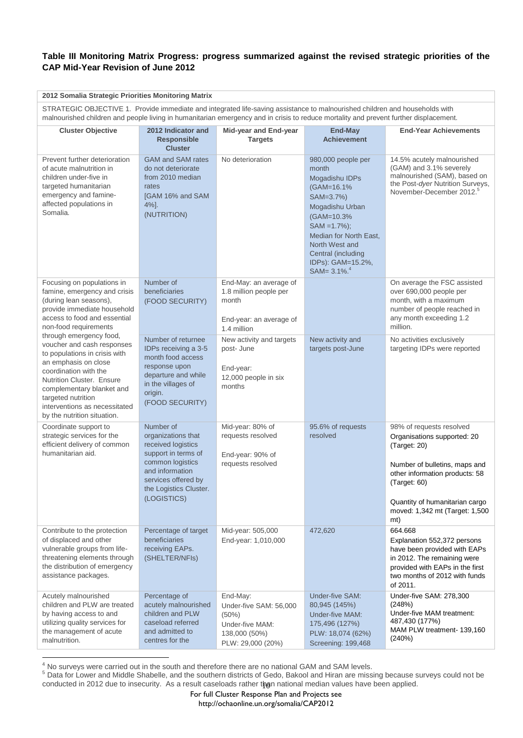## **Table III Monitoring Matrix Progress: progress summarized against the revised strategic priorities of the CAP Mid-Year Revision of June 2012**

| 2012 Somalia Strategic Priorities Monitoring Matrix                                                                                                                                                                                                                                     |                                                                                                                                                                                     |                                                                                                         |                                                                                                                                                                                                                                          |                                                                                                                                                                                                                                       |  |
|-----------------------------------------------------------------------------------------------------------------------------------------------------------------------------------------------------------------------------------------------------------------------------------------|-------------------------------------------------------------------------------------------------------------------------------------------------------------------------------------|---------------------------------------------------------------------------------------------------------|------------------------------------------------------------------------------------------------------------------------------------------------------------------------------------------------------------------------------------------|---------------------------------------------------------------------------------------------------------------------------------------------------------------------------------------------------------------------------------------|--|
| STRATEGIC OBJECTIVE 1. Provide immediate and integrated life-saving assistance to malnourished children and households with<br>malnourished children and people living in humanitarian emergency and in crisis to reduce mortality and prevent further displacement.                    |                                                                                                                                                                                     |                                                                                                         |                                                                                                                                                                                                                                          |                                                                                                                                                                                                                                       |  |
| <b>Cluster Objective</b>                                                                                                                                                                                                                                                                | 2012 Indicator and<br><b>Responsible</b><br><b>Cluster</b>                                                                                                                          | Mid-year and End-year<br><b>Targets</b>                                                                 | <b>End-May</b><br><b>Achievement</b>                                                                                                                                                                                                     | <b>End-Year Achievements</b>                                                                                                                                                                                                          |  |
| Prevent further deterioration<br>of acute malnutrition in<br>children under-five in<br>targeted humanitarian<br>emergency and famine-<br>affected populations in<br>Somalia.                                                                                                            | <b>GAM and SAM rates</b><br>do not deteriorate<br>from 2010 median<br>rates<br>[GAM 16% and SAM<br>$4\%$ ].<br>(NUTRITION)                                                          | No deterioration                                                                                        | 980,000 people per<br>month<br>Mogadishu IDPs<br>(GAM=16.1%)<br>SAM=3.7%)<br>Mogadishu Urban<br>(GAM=10.3%)<br>$SAM = 1.7\%$ ;<br>Median for North East,<br>North West and<br>Central (including<br>IDPs): GAM=15.2%,<br>$SAM = 3.1\%$ . | 14.5% acutely malnourished<br>(GAM) and 3.1% severely<br>malnourished (SAM), based on<br>the Post-dyer Nutrition Surveys,<br>November-December 2012. <sup>5</sup>                                                                     |  |
| Focusing on populations in<br>famine, emergency and crisis<br>(during lean seasons),<br>provide immediate household<br>access to food and essential<br>non-food requirements                                                                                                            | Number of<br>beneficiaries<br>(FOOD SECURITY)                                                                                                                                       | End-May: an average of<br>1.8 million people per<br>month<br>End-year: an average of<br>1.4 million     |                                                                                                                                                                                                                                          | On average the FSC assisted<br>over 690,000 people per<br>month, with a maximum<br>number of people reached in<br>any month exceeding 1.2<br>million.                                                                                 |  |
| through emergency food,<br>voucher and cash responses<br>to populations in crisis with<br>an emphasis on close<br>coordination with the<br>Nutrition Cluster. Ensure<br>complementary blanket and<br>targeted nutrition<br>interventions as necessitated<br>by the nutrition situation. | Number of returnee<br>IDPs receiving a 3-5<br>month food access<br>response upon<br>departure and while<br>in the villages of<br>origin.<br>(FOOD SECURITY)                         | New activity and targets<br>post-June<br>End-year:<br>12,000 people in six<br>months                    | New activity and<br>targets post-June                                                                                                                                                                                                    | No activities exclusively<br>targeting IDPs were reported                                                                                                                                                                             |  |
| Coordinate support to<br>strategic services for the<br>efficient delivery of common<br>humanitarian aid.                                                                                                                                                                                | Number of<br>organizations that<br>received logistics<br>support in terms of<br>common logistics<br>and information<br>services offered by<br>the Logistics Cluster.<br>(LOGISTICS) | Mid-year: 80% of<br>requests resolved<br>End-year: 90% of<br>requests resolved                          | 95.6% of requests<br>resolved                                                                                                                                                                                                            | 98% of requests resolved<br>Organisations supported: 20<br>(Target: 20)<br>Number of bulletins, maps and<br>other information products: 58<br>(Target: 60)<br>Quantity of humanitarian cargo<br>moved: 1,342 mt (Target: 1,500<br>mt) |  |
| Contribute to the protection<br>of displaced and other<br>vulnerable groups from life-<br>threatening elements through<br>the distribution of emergency<br>assistance packages.                                                                                                         | Percentage of target<br>beneficiaries<br>receiving EAPs.<br>(SHELTER/NFIs)                                                                                                          | Mid-year: 505,000<br>End-year: 1,010,000                                                                | 472,620                                                                                                                                                                                                                                  | 664.668<br>Explanation 552,372 persons<br>have been provided with EAPs<br>in 2012. The remaining were<br>provided with EAPs in the first<br>two months of 2012 with funds<br>of 2011.                                                 |  |
| Acutely malnourished<br>children and PLW are treated<br>by having access to and<br>utilizing quality services for<br>the management of acute<br>malnutrition.                                                                                                                           | Percentage of<br>acutely malnourished<br>children and PLW<br>caseload referred<br>and admitted to<br>centres for the                                                                | End-May:<br>Under-five SAM: 56,000<br>$(50\%)$<br>Under-five MAM:<br>138,000 (50%)<br>PLW: 29,000 (20%) | Under-five SAM:<br>80,945 (145%)<br>Under-five MAM:<br>175,496 (127%)<br>PLW: 18,074 (62%)<br>Screening: 199,468                                                                                                                         | Under-five SAM: 278,300<br>(248%)<br>Under-five MAM treatment:<br>487,430 (177%)<br>MAM PLW treatment-139,160<br>(240%)                                                                                                               |  |

 $\overline{a}$ No surveys were carried out in the south and therefore there are no national GAM and SAM levels.

conducted in 2012 due to insecurity. As a result caseloads rather than national median values have been applied. <sup>5</sup> Data for Lower and Middle Shabelle, and the southern districts of Gedo, Bakool and Hiran are missing because surveys could not be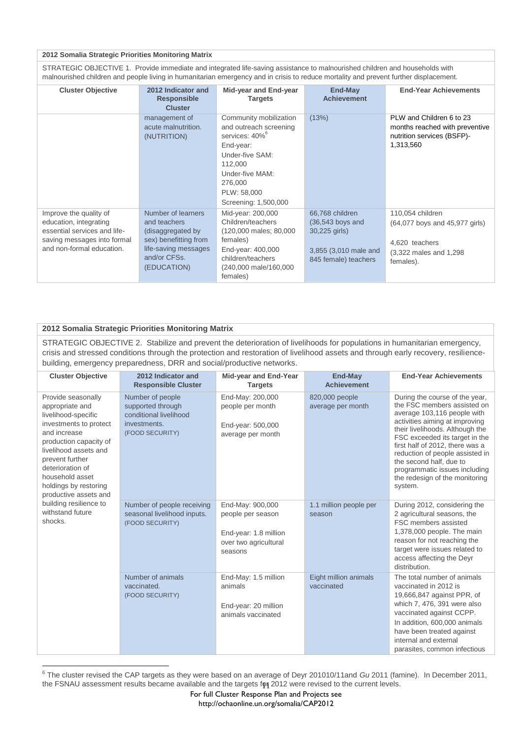#### **2012 Somalia Strategic Priorities Monitoring Matrix**

STRATEGIC OBJECTIVE 1. Provide immediate and integrated life-saving assistance to malnourished children and households with malnourished children and people living in humanitarian emergency and in crisis to reduce mortality and prevent further displacement.

| <b>Cluster Objective</b>                                                                                                                     | 2012 Indicator and<br><b>Responsible</b><br><b>Cluster</b>                                                                              | <b>Mid-year and End-year</b><br><b>Targets</b>                                                                                                                                                 | End-May<br><b>Achievement</b>                                                                           | <b>End-Year Achievements</b>                                                                                 |
|----------------------------------------------------------------------------------------------------------------------------------------------|-----------------------------------------------------------------------------------------------------------------------------------------|------------------------------------------------------------------------------------------------------------------------------------------------------------------------------------------------|---------------------------------------------------------------------------------------------------------|--------------------------------------------------------------------------------------------------------------|
|                                                                                                                                              | management of<br>acute malnutrition.<br>(NUTRITION)                                                                                     | Community mobilization<br>and outreach screening<br>services: 40% <sup>6</sup><br>End-year:<br>Under-five SAM:<br>112,000<br>Under-five MAM:<br>276,000<br>PLW: 58,000<br>Screening: 1,500,000 | (13%)                                                                                                   | PLW and Children 6 to 23<br>months reached with preventive<br>nutrition services (BSFP)-<br>1,313,560        |
| Improve the quality of<br>education, integrating<br>essential services and life-<br>saving messages into formal<br>and non-formal education. | Number of learners<br>and teachers<br>(disaggregated by<br>sex) benefitting from<br>life-saving messages<br>and/or CFSs.<br>(EDUCATION) | Mid-year: 200,000<br>Children/teachers<br>(120,000 males; 80,000<br>females)<br>End-year: 400,000<br>children/teachers<br>(240,000 male/160,000<br>females)                                    | 66,768 children<br>$(36,543$ boys and<br>30,225 girls)<br>3,855 (3,010 male and<br>845 female) teachers | 110,054 children<br>(64,077 boys and 45,977 girls)<br>4.620 teachers<br>(3,322 males and 1,298)<br>females). |

#### **2012 Somalia Strategic Priorities Monitoring Matrix**

 $\overline{a}$ 

STRATEGIC OBJECTIVE 2. Stabilize and prevent the deterioration of livelihoods for populations in humanitarian emergency, crisis and stressed conditions through the protection and restoration of livelihood assets and through early recovery, resiliencebuilding, emergency preparedness, DRR and social/productive networks.

| <b>Cluster Objective</b>                                                                                                                                                                                                                                                                                                       | 2012 Indicator and<br><b>Responsible Cluster</b>                                                   | Mid-year and End-Year<br><b>Targets</b>                                                            | End-May<br><b>Achievement</b>       | <b>End-Year Achievements</b>                                                                                                                                                                                                                                                                                                                                                       |
|--------------------------------------------------------------------------------------------------------------------------------------------------------------------------------------------------------------------------------------------------------------------------------------------------------------------------------|----------------------------------------------------------------------------------------------------|----------------------------------------------------------------------------------------------------|-------------------------------------|------------------------------------------------------------------------------------------------------------------------------------------------------------------------------------------------------------------------------------------------------------------------------------------------------------------------------------------------------------------------------------|
| Provide seasonally<br>appropriate and<br>livelihood-specific<br>investments to protect<br>and increase<br>production capacity of<br>livelihood assets and<br>prevent further<br>deterioration of<br>household asset<br>holdings by restoring<br>productive assets and<br>building resilience to<br>withstand future<br>shocks. | Number of people<br>supported through<br>conditional livelihood<br>investments.<br>(FOOD SECURITY) | End-May: 200,000<br>people per month<br>End-year: 500,000<br>average per month                     | 820,000 people<br>average per month | During the course of the year,<br>the FSC members assisted on<br>average 103,116 people with<br>activities aiming at improving<br>their livelihoods. Although the<br>FSC exceeded its target in the<br>first half of 2012, there was a<br>reduction of people assisted in<br>the second half, due to<br>programmatic issues including<br>the redesign of the monitoring<br>system. |
|                                                                                                                                                                                                                                                                                                                                | Number of people receiving<br>seasonal livelihood inputs.<br>(FOOD SECURITY)                       | End-May: 900,000<br>people per season<br>End-year: 1.8 million<br>over two agricultural<br>seasons | 1.1 million people per<br>season    | During 2012, considering the<br>2 agricultural seasons, the<br>FSC members assisted<br>1,378,000 people. The main<br>reason for not reaching the<br>target were issues related to<br>access affecting the Deyr<br>distribution.                                                                                                                                                    |
|                                                                                                                                                                                                                                                                                                                                | Number of animals<br>vaccinated.<br>(FOOD SECURITY)                                                | End-May: 1.5 million<br>animals<br>End-year: 20 million<br>animals vaccinated                      | Eight million animals<br>vaccinated | The total number of animals<br>vaccinated in 2012 is<br>19,666,847 against PPR, of<br>which 7, 476, 391 were also<br>vaccinated against CCPP.<br>In addition, 600,000 animals<br>have been treated against<br>internal and external<br>parasites, common infectious                                                                                                                |

the FSNAU assessment results became available and the targets for 2012 were revised to the current levels. 6 The cluster revised the CAP targets as they were based on an average of Deyr 201010/11and *Gu* 2011 (famine). In December 2011,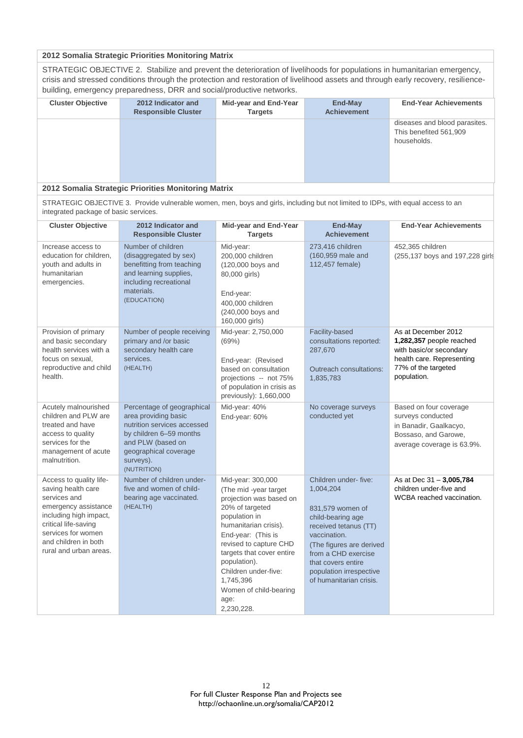#### **2012 Somalia Strategic Priorities Monitoring Matrix**

STRATEGIC OBJECTIVE 2. Stabilize and prevent the deterioration of livelihoods for populations in humanitarian emergency, crisis and stressed conditions through the protection and restoration of livelihood assets and through early recovery, resiliencebuilding, emergency preparedness, DRR and social/productive networks.

| <b>Cluster Objective</b> | 2012 Indicator and<br><b>Responsible Cluster</b> | <b>Mid-year and End-Year</b><br><b>Targets</b> | End-May<br><b>Achievement</b> | <b>End-Year Achievements</b>                                           |
|--------------------------|--------------------------------------------------|------------------------------------------------|-------------------------------|------------------------------------------------------------------------|
|                          |                                                  |                                                |                               | diseases and blood parasites.<br>This benefited 561,909<br>households. |
|                          |                                                  |                                                |                               |                                                                        |

#### **2012 Somalia Strategic Priorities Monitoring Matrix**

STRATEGIC OBJECTIVE 3. Provide vulnerable women, men, boys and girls, including but not limited to IDPs, with equal access to an integrated package of basic services.

| <b>Cluster Objective</b>                                                                                                                                                                                        | 2012 Indicator and<br><b>Responsible Cluster</b>                                                                                                                                       | Mid-year and End-Year<br><b>Targets</b>                                                                                                                                                                                                                                                                             | <b>End-May</b><br><b>Achievement</b>                                                                                                                                                                                                               | <b>End-Year Achievements</b>                                                                                                                  |
|-----------------------------------------------------------------------------------------------------------------------------------------------------------------------------------------------------------------|----------------------------------------------------------------------------------------------------------------------------------------------------------------------------------------|---------------------------------------------------------------------------------------------------------------------------------------------------------------------------------------------------------------------------------------------------------------------------------------------------------------------|----------------------------------------------------------------------------------------------------------------------------------------------------------------------------------------------------------------------------------------------------|-----------------------------------------------------------------------------------------------------------------------------------------------|
| Increase access to<br>education for children,<br>youth and adults in<br>humanitarian<br>emergencies.                                                                                                            | Number of children<br>(disaggregated by sex)<br>benefitting from teaching<br>and learning supplies,<br>including recreational<br>materials.<br>(EDUCATION)                             | Mid-year:<br>200,000 children<br>(120,000 boys and<br>80,000 girls)<br>End-year:<br>400,000 children<br>(240,000 boys and<br>160,000 girls)                                                                                                                                                                         | 273,416 children<br>(160,959 male and<br>112,457 female)                                                                                                                                                                                           | 452,365 children<br>(255,137 boys and 197,228 girls                                                                                           |
| Provision of primary<br>and basic secondary<br>health services with a<br>focus on sexual,<br>reproductive and child<br>health.                                                                                  | Number of people receiving<br>primary and /or basic<br>secondary health care<br>services.<br>(HEALTH)                                                                                  | Mid-year: 2,750,000<br>(69%)<br>End-year: (Revised<br>based on consultation<br>projections -- not 75%<br>of population in crisis as<br>previously): 1,660,000                                                                                                                                                       | Facility-based<br>consultations reported:<br>287,670<br>Outreach consultations:<br>1,835,783                                                                                                                                                       | As at December 2012<br>1,282,357 people reached<br>with basic/or secondary<br>health care. Representing<br>77% of the targeted<br>population. |
| Acutely malnourished<br>children and PLW are<br>treated and have<br>access to quality<br>services for the<br>management of acute<br>malnutrition.                                                               | Percentage of geographical<br>area providing basic<br>nutrition services accessed<br>by children 6-59 months<br>and PLW (based on<br>geographical coverage<br>surveys).<br>(NUTRITION) | Mid-year: 40%<br>End-year: 60%                                                                                                                                                                                                                                                                                      | No coverage surveys<br>conducted yet                                                                                                                                                                                                               | Based on four coverage<br>surveys conducted<br>in Banadir, Gaalkacyo,<br>Bossaso, and Garowe,<br>average coverage is 63.9%.                   |
| Access to quality life-<br>saving health care<br>services and<br>emergency assistance<br>including high impact,<br>critical life-saving<br>services for women<br>and children in both<br>rural and urban areas. | Number of children under-<br>five and women of child-<br>bearing age vaccinated.<br>(HEALTH)                                                                                           | Mid-year: 300,000<br>(The mid-year target<br>projection was based on<br>20% of targeted<br>population in<br>humanitarian crisis).<br>End-year: (This is<br>revised to capture CHD<br>targets that cover entire<br>population).<br>Children under-five:<br>1,745,396<br>Women of child-bearing<br>age:<br>2,230,228. | Children under-five:<br>1,004,204<br>831,579 women of<br>child-bearing age<br>received tetanus (TT)<br>vaccination.<br>(The figures are derived<br>from a CHD exercise<br>that covers entire<br>population irrespective<br>of humanitarian crisis. | As at Dec 31 - 3,005,784<br>children under-five and<br>WCBA reached vaccination.                                                              |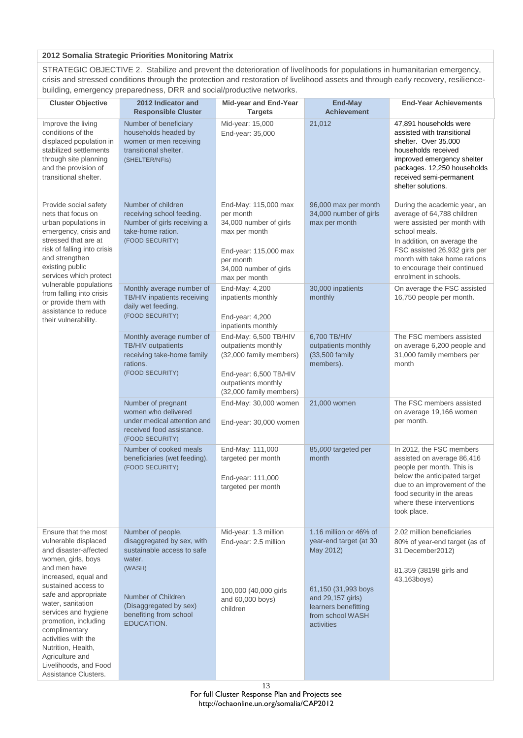#### **2012 Somalia Strategic Priorities Monitoring Matrix**

STRATEGIC OBJECTIVE 2. Stabilize and prevent the deterioration of livelihoods for populations in humanitarian emergency, crisis and stressed conditions through the protection and restoration of livelihood assets and through early recovery, resiliencebuilding, emergency preparedness, DRR and social/productive networks.

| <b>Cluster Objective</b>                                                                                                                                                                                                                                                                   | 2012 Indicator and<br><b>Responsible Cluster</b>                                                                         | Mid-year and End-Year<br><b>Targets</b>                                                                                                                       | End-May<br><b>Achievement</b>                                                                      | <b>End-Year Achievements</b>                                                                                                                                                                                                                                         |
|--------------------------------------------------------------------------------------------------------------------------------------------------------------------------------------------------------------------------------------------------------------------------------------------|--------------------------------------------------------------------------------------------------------------------------|---------------------------------------------------------------------------------------------------------------------------------------------------------------|----------------------------------------------------------------------------------------------------|----------------------------------------------------------------------------------------------------------------------------------------------------------------------------------------------------------------------------------------------------------------------|
| Improve the living<br>conditions of the<br>displaced population in<br>stabilized settlements<br>through site planning<br>and the provision of<br>transitional shelter.                                                                                                                     | Number of beneficiary<br>households headed by<br>women or men receiving<br>transitional shelter.<br>(SHELTER/NFIs)       | Mid-year: 15,000<br>End-year: 35,000                                                                                                                          | 21,012                                                                                             | 47,891 households were<br>assisted with transitional<br>shelter. Over 35,000<br>households received<br>improved emergency shelter<br>packages. 12,250 households<br>received semi-permanent<br>shelter solutions.                                                    |
| Provide social safety<br>nets that focus on<br>urban populations in<br>emergency, crisis and<br>stressed that are at<br>risk of falling into crisis<br>and strengthen<br>existing public<br>services which protect                                                                         | Number of children<br>receiving school feeding.<br>Number of girls receiving a<br>take-home ration.<br>(FOOD SECURITY)   | End-May: 115,000 max<br>per month<br>34,000 number of girls<br>max per month<br>End-year: 115,000 max<br>per month<br>34,000 number of girls<br>max per month | 96,000 max per month<br>34,000 number of girls<br>max per month                                    | During the academic year, an<br>average of 64,788 children<br>were assisted per month with<br>school meals.<br>In addition, on average the<br>FSC assisted 26,932 girls per<br>month with take home rations<br>to encourage their continued<br>enrolment in schools. |
| vulnerable populations<br>from falling into crisis<br>or provide them with<br>assistance to reduce<br>their vulnerability.                                                                                                                                                                 | Monthly average number of<br>TB/HIV inpatients receiving<br>daily wet feeding.<br>(FOOD SECURITY)                        | End-May: 4,200<br>inpatients monthly<br>End-year: 4,200<br>inpatients monthly                                                                                 | 30,000 inpatients<br>monthly                                                                       | On average the FSC assisted<br>16,750 people per month.                                                                                                                                                                                                              |
|                                                                                                                                                                                                                                                                                            | Monthly average number of<br>TB/HIV outpatients<br>receiving take-home family<br>rations.<br>(FOOD SECURITY)             | End-May: 6,500 TB/HIV<br>outpatients monthly<br>(32,000 family members)<br>End-year: 6,500 TB/HIV<br>outpatients monthly<br>(32,000 family members)           | 6,700 TB/HIV<br>outpatients monthly<br>(33,500 family<br>members).                                 | The FSC members assisted<br>on average 6,200 people and<br>31,000 family members per<br>month                                                                                                                                                                        |
|                                                                                                                                                                                                                                                                                            | Number of pregnant<br>women who delivered<br>under medical attention and<br>received food assistance.<br>(FOOD SECURITY) | End-May: 30,000 women<br>End-year: 30,000 women                                                                                                               | 21,000 women                                                                                       | The FSC members assisted<br>on average 19,166 women<br>per month.                                                                                                                                                                                                    |
|                                                                                                                                                                                                                                                                                            | Number of cooked meals<br>beneficiaries (wet feeding).<br>(FOOD SECURITY)                                                | End-May: 111,000<br>targeted per month<br>End-year: 111,000<br>targeted per month                                                                             | 85,000 targeted per<br>month                                                                       | In 2012, the FSC members<br>assisted on average 86,416<br>people per month. This is<br>below the anticipated target<br>due to an improvement of the<br>food security in the areas<br>where these interventions<br>took place.                                        |
| Ensure that the most<br>vulnerable displaced<br>and disaster-affected<br>women, girls, boys                                                                                                                                                                                                | Number of people,<br>disaggregated by sex, with<br>sustainable access to safe<br>water.                                  | Mid-year: 1.3 million<br>End-year: 2.5 million                                                                                                                | 1.16 million or 46% of<br>year-end target (at 30<br>May 2012)                                      | 2.02 million beneficiaries<br>80% of year-end target (as of<br>31 December2012)                                                                                                                                                                                      |
| and men have<br>increased, equal and<br>sustained access to<br>safe and appropriate<br>water, sanitation<br>services and hygiene<br>promotion, including<br>complimentary<br>activities with the<br>Nutrition, Health,<br>Agriculture and<br>Livelihoods, and Food<br>Assistance Clusters. | (WASH)<br>Number of Children<br>(Disaggregated by sex)<br>benefiting from school<br>EDUCATION.                           | 100,000 (40,000 girls<br>and 60,000 boys)<br>children                                                                                                         | 61,150 (31,993 boys<br>and 29,157 girls)<br>learners benefitting<br>from school WASH<br>activities | 81,359 (38198 girls and<br>43,163boys)                                                                                                                                                                                                                               |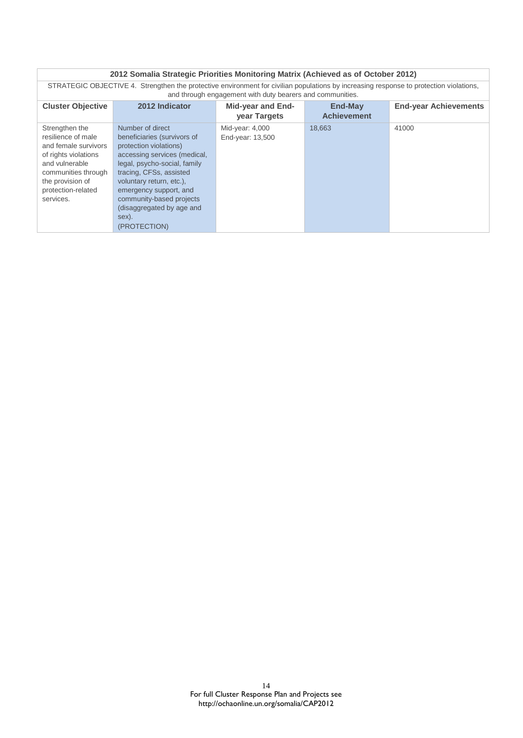| 2012 Somalia Strategic Priorities Monitoring Matrix (Achieved as of October 2012) |                                                                                                                                                                                                     |                   |                    |                              |  |
|-----------------------------------------------------------------------------------|-----------------------------------------------------------------------------------------------------------------------------------------------------------------------------------------------------|-------------------|--------------------|------------------------------|--|
|                                                                                   | STRATEGIC OBJECTIVE 4. Strengthen the protective environment for civilian populations by increasing response to protection violations,<br>and through engagement with duty bearers and communities. |                   |                    |                              |  |
| <b>Cluster Objective</b>                                                          | 2012 Indicator                                                                                                                                                                                      | Mid-year and End- | <b>End-May</b>     | <b>End-year Achievements</b> |  |
|                                                                                   |                                                                                                                                                                                                     | year Targets      | <b>Achievement</b> |                              |  |
| Strengthen the                                                                    | Number of direct                                                                                                                                                                                    | Mid-year: 4,000   | 18,663             | 41000                        |  |
| resilience of male                                                                | beneficiaries (survivors of                                                                                                                                                                         | End-year: 13,500  |                    |                              |  |
| and female survivors                                                              | protection violations)                                                                                                                                                                              |                   |                    |                              |  |
| of rights violations                                                              | accessing services (medical,                                                                                                                                                                        |                   |                    |                              |  |
| and vulnerable                                                                    | legal, psycho-social, family                                                                                                                                                                        |                   |                    |                              |  |
| communities through                                                               | tracing, CFSs, assisted                                                                                                                                                                             |                   |                    |                              |  |
| the provision of                                                                  | voluntary return, etc.),                                                                                                                                                                            |                   |                    |                              |  |
| protection-related                                                                | emergency support, and                                                                                                                                                                              |                   |                    |                              |  |
| services.                                                                         | community-based projects                                                                                                                                                                            |                   |                    |                              |  |
|                                                                                   | (disaggregated by age and                                                                                                                                                                           |                   |                    |                              |  |
|                                                                                   | sex).                                                                                                                                                                                               |                   |                    |                              |  |
|                                                                                   | (PROTECTION)                                                                                                                                                                                        |                   |                    |                              |  |

#### 14 For full Cluster Response Plan and Projects see http://ochaonline.un.org/somalia/CAP2012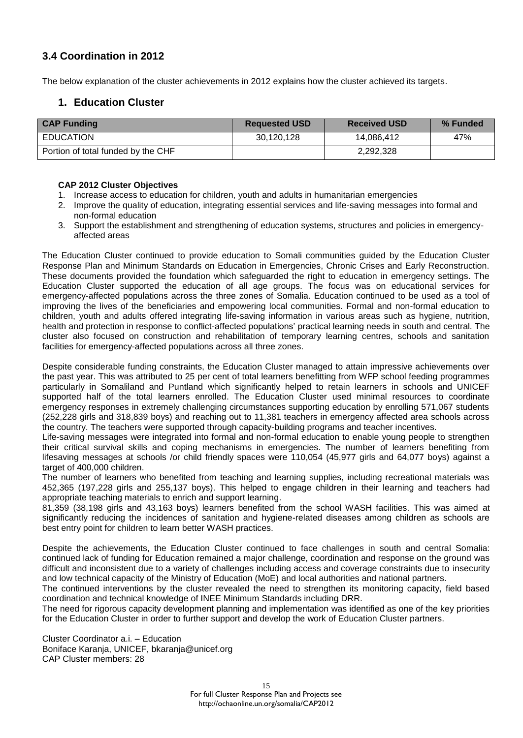# **3.4 Coordination in 2012**

The below explanation of the cluster achievements in 2012 explains how the cluster achieved its targets.

# **1. Education Cluster**

| <b>CAP Funding</b>                 | <b>Requested USD</b> | <b>Received USD</b> | % Funded |
|------------------------------------|----------------------|---------------------|----------|
| EDUCATION                          | 30,120,128           | 14.086.412          | 47%      |
| Portion of total funded by the CHF |                      | 2,292,328           |          |

#### **CAP 2012 Cluster Objectives**

- 1. Increase access to education for children, youth and adults in humanitarian emergencies
- 2. Improve the quality of education, integrating essential services and life-saving messages into formal and non-formal education
- 3. Support the establishment and strengthening of education systems, structures and policies in emergencyaffected areas

The Education Cluster continued to provide education to Somali communities guided by the Education Cluster Response Plan and Minimum Standards on Education in Emergencies, Chronic Crises and Early Reconstruction. These documents provided the foundation which safeguarded the right to education in emergency settings. The Education Cluster supported the education of all age groups. The focus was on educational services for emergency-affected populations across the three zones of Somalia. Education continued to be used as a tool of improving the lives of the beneficiaries and empowering local communities. Formal and non-formal education to children, youth and adults offered integrating life-saving information in various areas such as hygiene, nutrition, health and protection in response to conflict-affected populations' practical learning needs in south and central. The cluster also focused on construction and rehabilitation of temporary learning centres, schools and sanitation facilities for emergency-affected populations across all three zones.

Despite considerable funding constraints, the Education Cluster managed to attain impressive achievements over the past year. This was attributed to 25 per cent of total learners benefitting from WFP school feeding programmes particularly in Somaliland and Puntland which significantly helped to retain learners in schools and UNICEF supported half of the total learners enrolled. The Education Cluster used minimal resources to coordinate emergency responses in extremely challenging circumstances supporting education by enrolling 571,067 students (252,228 girls and 318,839 boys) and reaching out to 11,381 teachers in emergency affected area schools across the country. The teachers were supported through capacity-building programs and teacher incentives.

Life-saving messages were integrated into formal and non-formal education to enable young people to strengthen their critical survival skills and coping mechanisms in emergencies. The number of learners benefiting from lifesaving messages at schools /or child friendly spaces were 110,054 (45,977 girls and 64,077 boys) against a target of 400,000 children.

The number of learners who benefited from teaching and learning supplies, including recreational materials was 452,365 (197,228 girls and 255,137 boys). This helped to engage children in their learning and teachers had appropriate teaching materials to enrich and support learning.

81,359 (38,198 girls and 43,163 boys) learners benefited from the school WASH facilities. This was aimed at significantly reducing the incidences of sanitation and hygiene-related diseases among children as schools are best entry point for children to learn better WASH practices.

Despite the achievements, the Education Cluster continued to face challenges in south and central Somalia: continued lack of funding for Education remained a major challenge, coordination and response on the ground was difficult and inconsistent due to a variety of challenges including access and coverage constraints due to insecurity and low technical capacity of the Ministry of Education (MoE) and local authorities and national partners.

The continued interventions by the cluster revealed the need to strengthen its monitoring capacity, field based coordination and technical knowledge of INEE Minimum Standards including DRR.

The need for rigorous capacity development planning and implementation was identified as one of the key priorities for the Education Cluster in order to further support and develop the work of Education Cluster partners.

Cluster Coordinator a.i. – Education Boniface Karanja, UNICEF, bkaranja@unicef.org CAP Cluster members: 28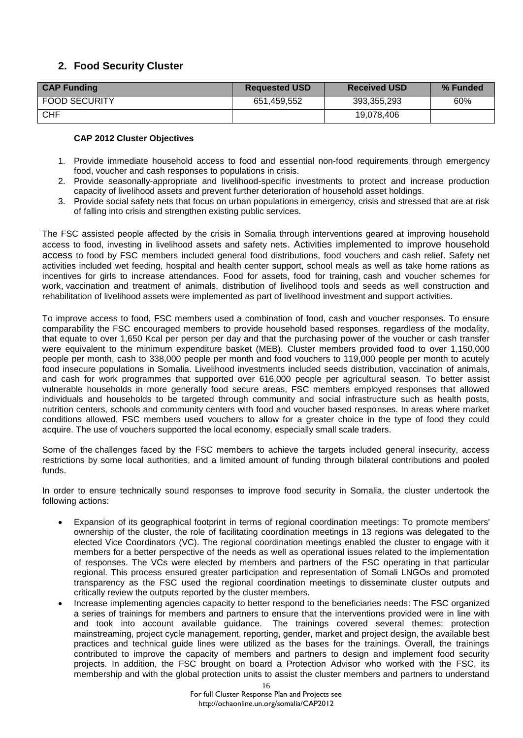# **2. Food Security Cluster**

| <b>CAP Funding</b> | <b>Requested USD</b> | <b>Received USD</b> | % Funded |
|--------------------|----------------------|---------------------|----------|
| FOOD SECURITY      | 651.459.552          | 393.355.293         | 60%      |
| <b>CHF</b>         |                      | 19.078.406          |          |

## **CAP 2012 Cluster Objectives**

- 1. Provide immediate household access to food and essential non-food requirements through emergency food, voucher and cash responses to populations in crisis.
- 2. Provide seasonally-appropriate and livelihood-specific investments to protect and increase production capacity of livelihood assets and prevent further deterioration of household asset holdings.
- 3. Provide social safety nets that focus on urban populations in emergency, crisis and stressed that are at risk of falling into crisis and strengthen existing public services.

The FSC assisted people affected by the crisis in Somalia through interventions geared at improving household access to food, investing in livelihood assets and safety nets. Activities implemented to improve household access to food by FSC members included general food distributions, food vouchers and cash relief. Safety net activities included wet feeding, hospital and health center support, school meals as well as take home rations as incentives for girls to increase attendances. Food for assets, food for training, cash and voucher schemes for work, vaccination and treatment of animals, distribution of livelihood tools and seeds as well construction and rehabilitation of livelihood assets were implemented as part of livelihood investment and support activities.

To improve access to food, FSC members used a combination of food, cash and voucher responses. To ensure comparability the FSC encouraged members to provide household based responses, regardless of the modality, that equate to over 1,650 Kcal per person per day and that the purchasing power of the voucher or cash transfer were equivalent to the minimum expenditure basket (MEB). Cluster members provided food to over 1,150,000 people per month, cash to 338,000 people per month and food vouchers to 119,000 people per month to acutely food insecure populations in Somalia. Livelihood investments included seeds distribution, vaccination of animals, and cash for work programmes that supported over 616,000 people per agricultural season. To better assist vulnerable households in more generally food secure areas, FSC members employed responses that allowed individuals and households to be targeted through community and social infrastructure such as health posts, nutrition centers, schools and community centers with food and voucher based responses. In areas where market conditions allowed, FSC members used vouchers to allow for a greater choice in the type of food they could acquire. The use of vouchers supported the local economy, especially small scale traders.

Some of the challenges faced by the FSC members to achieve the targets included general insecurity, access restrictions by some local authorities, and a limited amount of funding through bilateral contributions and pooled funds.

In order to ensure technically sound responses to improve food security in Somalia, the cluster undertook the following actions:

- Expansion of its geographical footprint in terms of regional coordination meetings: To promote members' ownership of the cluster, the role of facilitating coordination meetings in 13 regions was delegated to the elected Vice Coordinators (VC). The regional coordination meetings enabled the cluster to engage with it members for a better perspective of the needs as well as operational issues related to the implementation of responses. The VCs were elected by members and partners of the FSC operating in that particular regional. This process ensured greater participation and representation of Somali LNGOs and promoted transparency as the FSC used the regional coordination meetings to disseminate cluster outputs and critically review the outputs reported by the cluster members.
- Increase implementing agencies capacity to better respond to the beneficiaries needs: The FSC organized a series of trainings for members and partners to ensure that the interventions provided were in line with and took into account available guidance. The trainings covered several themes: protection mainstreaming, project cycle management, reporting, gender, market and project design, the available best practices and technical guide lines were utilized as the bases for the trainings. Overall, the trainings contributed to improve the capacity of members and partners to design and implement food security projects. In addition, the FSC brought on board a Protection Advisor who worked with the FSC, its membership and with the global protection units to assist the cluster members and partners to understand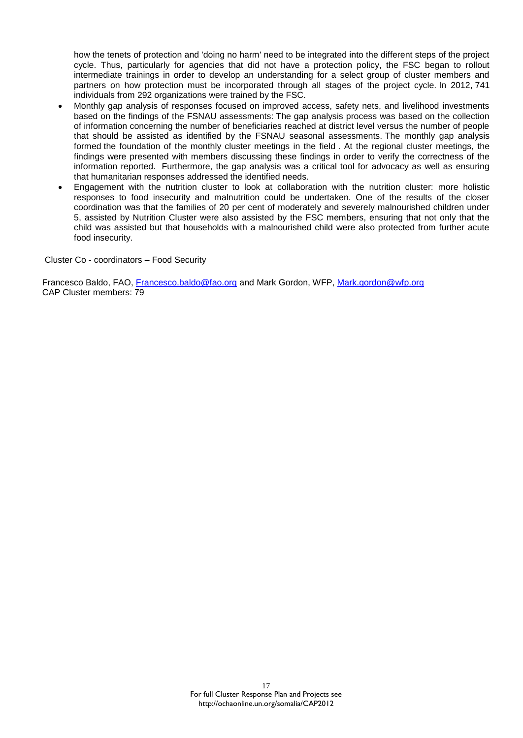how the tenets of protection and 'doing no harm' need to be integrated into the different steps of the project cycle. Thus, particularly for agencies that did not have a protection policy, the FSC began to rollout intermediate trainings in order to develop an understanding for a select group of cluster members and partners on how protection must be incorporated through all stages of the project cycle. In 2012, 741 individuals from 292 organizations were trained by the FSC.

- Monthly gap analysis of responses focused on improved access, safety nets, and livelihood investments based on the findings of the FSNAU assessments: The gap analysis process was based on the collection of information concerning the number of beneficiaries reached at district level versus the number of people that should be assisted as identified by the FSNAU seasonal assessments. The monthly gap analysis formed the foundation of the monthly cluster meetings in the field . At the regional cluster meetings, the findings were presented with members discussing these findings in order to verify the correctness of the information reported. Furthermore, the gap analysis was a critical tool for advocacy as well as ensuring that humanitarian responses addressed the identified needs.
- Engagement with the nutrition cluster to look at collaboration with the nutrition cluster: more holistic responses to food insecurity and malnutrition could be undertaken. One of the results of the closer coordination was that the families of 20 per cent of moderately and severely malnourished children under 5, assisted by Nutrition Cluster were also assisted by the FSC members, ensuring that not only that the child was assisted but that households with a malnourished child were also protected from further acute food insecurity.

Cluster Co - coordinators – Food Security

Francesco Baldo, FAO, [Francesco.baldo@fao.org](mailto:Francesco.baldo@fao.org) and Mark Gordon, WFP, [Mark.gordon@wfp.org](mailto:Mark.gordon@wfp.org) CAP Cluster members: 79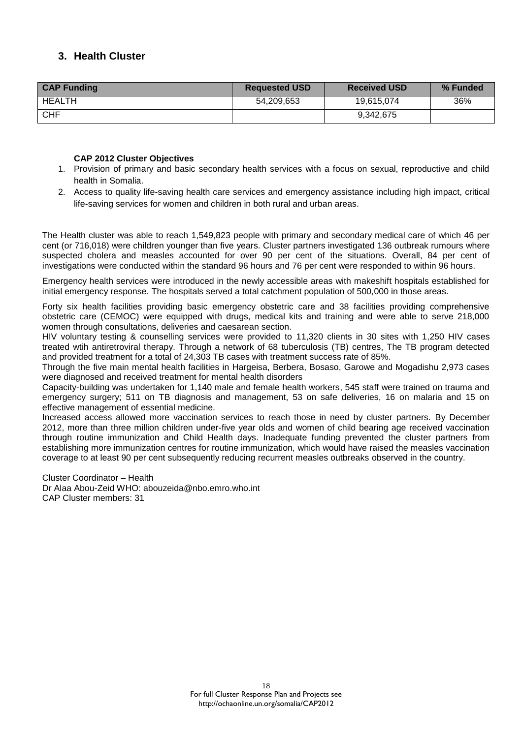# **3. Health Cluster**

| <b>CAP Funding</b> | <b>Requested USD</b> | <b>Received USD</b> | % Funded |
|--------------------|----------------------|---------------------|----------|
| <b>HEALTH</b>      | 54,209,653           | 19,615,074          | 36%      |
| <b>CHF</b>         |                      | 9,342,675           |          |

## **CAP 2012 Cluster Objectives**

- 1. Provision of primary and basic secondary health services with a focus on sexual, reproductive and child health in Somalia.
- 2. Access to quality life-saving health care services and emergency assistance including high impact, critical life-saving services for women and children in both rural and urban areas.

The Health cluster was able to reach 1,549,823 people with primary and secondary medical care of which 46 per cent (or 716,018) were children younger than five years. Cluster partners investigated 136 outbreak rumours where suspected cholera and measles accounted for over 90 per cent of the situations. Overall, 84 per cent of investigations were conducted within the standard 96 hours and 76 per cent were responded to within 96 hours.

Emergency health services were introduced in the newly accessible areas with makeshift hospitals established for initial emergency response. The hospitals served a total catchment population of 500,000 in those areas.

Forty six health facilities providing basic emergency obstetric care and 38 facilities providing comprehensive obstetric care (CEMOC) were equipped with drugs, medical kits and training and were able to serve 218,000 women through consultations, deliveries and caesarean section.

HIV voluntary testing & counselling services were provided to 11,320 clients in 30 sites with 1,250 HIV cases treated wtih antiretroviral therapy. Through a network of 68 tuberculosis (TB) centres, The TB program detected and provided treatment for a total of 24,303 TB cases with treatment success rate of 85%.

Through the five main mental health facilities in Hargeisa, Berbera, Bosaso, Garowe and Mogadishu 2,973 cases were diagnosed and received treatment for mental health disorders

Capacity-building was undertaken for 1,140 male and female health workers, 545 staff were trained on trauma and emergency surgery; 511 on TB diagnosis and management, 53 on safe deliveries, 16 on malaria and 15 on effective management of essential medicine.

Increased access allowed more vaccination services to reach those in need by cluster partners. By December 2012, more than three million children under-five year olds and women of child bearing age received vaccination through routine immunization and Child Health days. Inadequate funding prevented the cluster partners from establishing more immunization centres for routine immunization, which would have raised the measles vaccination coverage to at least 90 per cent subsequently reducing recurrent measles outbreaks observed in the country.

Cluster Coordinator – Health Dr Alaa Abou-Zeid WHO: [abouzeida@nbo.emro.who.int](mailto:abouzeida@nbo.emro.who.int) CAP Cluster members: 31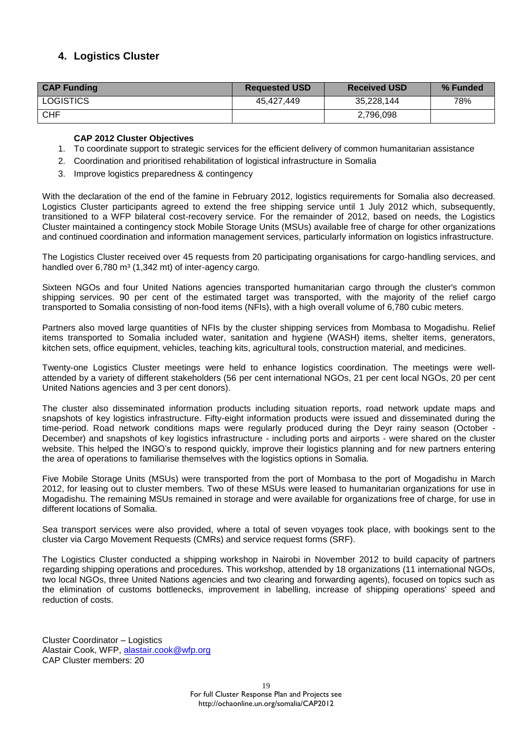# **4. Logistics Cluster**

| <b>CAP Funding</b> | <b>Requested USD</b> | <b>Received USD</b> | % Funded |
|--------------------|----------------------|---------------------|----------|
| <b>LOGISTICS</b>   | 45.427.449           | 35,228,144          | 78%      |
| <b>CHF</b>         |                      | 2,796,098           |          |

#### **CAP 2012 Cluster Objectives**

- 1. To coordinate support to strategic services for the efficient delivery of common humanitarian assistance
- 2. Coordination and prioritised rehabilitation of logistical infrastructure in Somalia
- 3. Improve logistics preparedness & contingency

With the declaration of the end of the famine in February 2012, logistics requirements for Somalia also decreased. Logistics Cluster participants agreed to extend the free shipping service until 1 July 2012 which, subsequently, transitioned to a WFP bilateral cost-recovery service. For the remainder of 2012, based on needs, the Logistics Cluster maintained a contingency stock Mobile Storage Units (MSUs) available free of charge for other organizations and continued coordination and information management services, particularly information on logistics infrastructure.

The Logistics Cluster received over 45 requests from 20 participating organisations for cargo-handling services, and handled over  $6,780 \text{ m}^3$  (1,342 mt) of inter-agency cargo.

Sixteen NGOs and four United Nations agencies transported humanitarian cargo through the cluster's common shipping services. 90 per cent of the estimated target was transported, with the majority of the relief cargo transported to Somalia consisting of non-food items (NFIs), with a high overall volume of 6,780 cubic meters.

Partners also moved large quantities of NFIs by the cluster shipping services from Mombasa to Mogadishu. Relief items transported to Somalia included water, sanitation and hygiene (WASH) items, shelter items, generators, kitchen sets, office equipment, vehicles, teaching kits, agricultural tools, construction material, and medicines.

Twenty-one Logistics Cluster meetings were held to enhance logistics coordination. The meetings were wellattended by a variety of different stakeholders (56 per cent international NGOs, 21 per cent local NGOs, 20 per cent United Nations agencies and 3 per cent donors).

The cluster also disseminated information products including situation reports, road network update maps and snapshots of key logistics infrastructure. Fifty-eight information products were issued and disseminated during the time-period. Road network conditions maps were regularly produced during the Deyr rainy season (October - December) and snapshots of key logistics infrastructure - including ports and airports - were shared on the cluster website. This helped the INGO's to respond quickly, improve their logistics planning and for new partners entering the area of operations to familiarise themselves with the logistics options in Somalia.

Five Mobile Storage Units (MSUs) were transported from the port of Mombasa to the port of Mogadishu in March 2012, for leasing out to cluster members. Two of these MSUs were leased to humanitarian organizations for use in Mogadishu. The remaining MSUs remained in storage and were available for organizations free of charge, for use in different locations of Somalia.

Sea transport services were also provided, where a total of seven voyages took place, with bookings sent to the cluster via Cargo Movement Requests (CMRs) and service request forms (SRF).

The Logistics Cluster conducted a shipping workshop in Nairobi in November 2012 to build capacity of partners regarding shipping operations and procedures. This workshop, attended by 18 organizations (11 international NGOs, two local NGOs, three United Nations agencies and two clearing and forwarding agents), focused on topics such as the elimination of customs bottlenecks, improvement in labelling, increase of shipping operations' speed and reduction of costs.

Cluster Coordinator – Logistics Alastair Cook, WFP, [alastair.cook@wfp.org](mailto:alastair.cook@wfp.org) CAP Cluster members: 20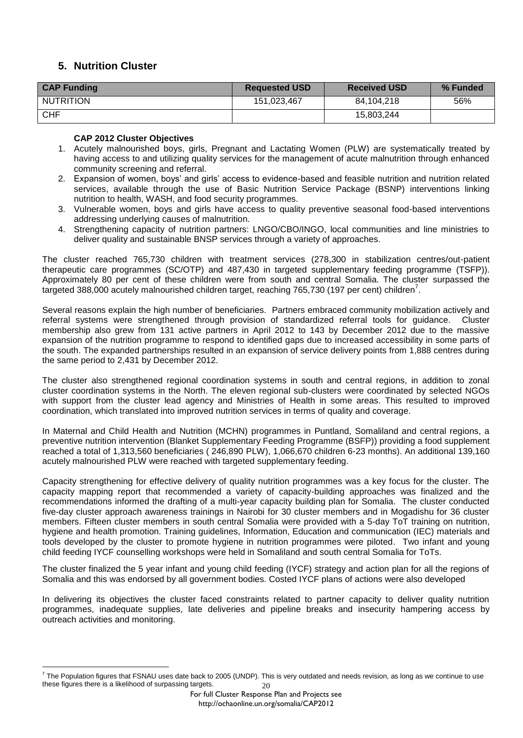# **5. Nutrition Cluster**

| <b>CAP Funding</b> | <b>Requested USD</b> | <b>Received USD</b> | % Funded |
|--------------------|----------------------|---------------------|----------|
| <b>NUTRITION</b>   | 151,023,467          | 84.104.218          | 56%      |
| CHF                |                      | 15,803,244          |          |

## **CAP 2012 Cluster Objectives**

- 1. Acutely malnourished boys, girls, Pregnant and Lactating Women (PLW) are systematically treated by having access to and utilizing quality services for the management of acute malnutrition through enhanced community screening and referral.
- 2. Expansion of women, boys' and girls' access to evidence-based and feasible nutrition and nutrition related services, available through the use of Basic Nutrition Service Package (BSNP) interventions linking nutrition to health, WASH, and food security programmes.
- 3. Vulnerable women, boys and girls have access to quality preventive seasonal food-based interventions addressing underlying causes of malnutrition.
- 4. Strengthening capacity of nutrition partners: LNGO/CBO/INGO, local communities and line ministries to deliver quality and sustainable BNSP services through a variety of approaches.

The cluster reached 765,730 children with treatment services (278,300 in stabilization centres/out-patient therapeutic care programmes (SC/OTP) and 487,430 in targeted supplementary feeding programme (TSFP)). Approximately 80 per cent of these children were from south and central Somalia. The cluster surpassed the targeted 388,000 acutely malnourished children target, reaching 765,730 (197 per cent) children<sup>7</sup>.

Several reasons explain the high number of beneficiaries. Partners embraced community mobilization actively and referral systems were strengthened through provision of standardized referral tools for guidance. Cluster membership also grew from 131 active partners in April 2012 to 143 by December 2012 due to the massive expansion of the nutrition programme to respond to identified gaps due to increased accessibility in some parts of the south. The expanded partnerships resulted in an expansion of service delivery points from 1,888 centres during the same period to 2,431 by December 2012.

The cluster also strengthened regional coordination systems in south and central regions, in addition to zonal cluster coordination systems in the North. The eleven regional sub-clusters were coordinated by selected NGOs with support from the cluster lead agency and Ministries of Health in some areas. This resulted to improved coordination, which translated into improved nutrition services in terms of quality and coverage.

In Maternal and Child Health and Nutrition (MCHN) programmes in Puntland, Somaliland and central regions, a preventive nutrition intervention (Blanket Supplementary Feeding Programme (BSFP)) providing a food supplement reached a total of 1,313,560 beneficiaries ( 246,890 PLW), 1,066,670 children 6-23 months). An additional 139,160 acutely malnourished PLW were reached with targeted supplementary feeding.

Capacity strengthening for effective delivery of quality nutrition programmes was a key focus for the cluster. The capacity mapping report that recommended a variety of capacity-building approaches was finalized and the recommendations informed the drafting of a multi-year capacity building plan for Somalia. The cluster conducted five-day cluster approach awareness trainings in Nairobi for 30 cluster members and in Mogadishu for 36 cluster members. Fifteen cluster members in south central Somalia were provided with a 5-day ToT training on nutrition, hygiene and health promotion. Training guidelines, Information, Education and communication (IEC) materials and tools developed by the cluster to promote hygiene in nutrition programmes were piloted. Two infant and young child feeding IYCF counselling workshops were held in Somaliland and south central Somalia for ToTs.

The cluster finalized the 5 year infant and young child feeding (IYCF) strategy and action plan for all the regions of Somalia and this was endorsed by all government bodies. Costed IYCF plans of actions were also developed

In delivering its objectives the cluster faced constraints related to partner capacity to deliver quality nutrition programmes, inadequate supplies, late deliveries and pipeline breaks and insecurity hampering access by outreach activities and monitoring.

<sup>20</sup>  $\overline{a}$ 7 The Population figures that FSNAU uses date back to 2005 (UNDP). This is very outdated and needs revision, as long as we continue to use these figures there is a likelihood of surpassing targets.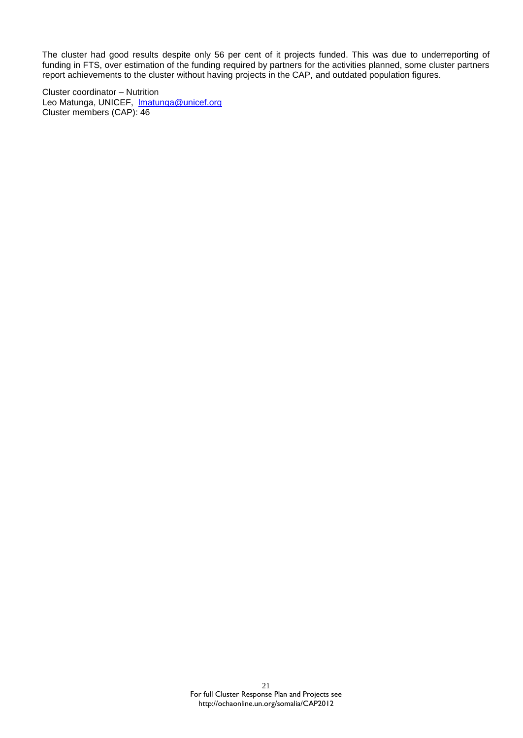The cluster had good results despite only 56 per cent of it projects funded. This was due to underreporting of funding in FTS, over estimation of the funding required by partners for the activities planned, some cluster partners report achievements to the cluster without having projects in the CAP, and outdated population figures.

Cluster coordinator – Nutrition Leo Matunga, UNICEF, Imatunga@unicef.org Cluster members (CAP): 46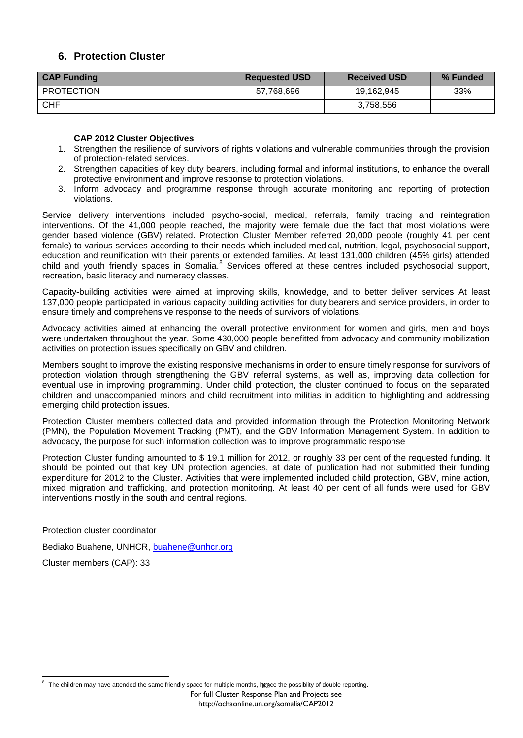# **6. Protection Cluster**

| <b>CAP Funding</b> | <b>Requested USD</b> | <b>Received USD</b> | % Funded |
|--------------------|----------------------|---------------------|----------|
| <b>PROTECTION</b>  | 57,768,696           | 19,162,945          | 33%      |
| <b>CHF</b>         |                      | 3,758,556           |          |

#### **CAP 2012 Cluster Objectives**

- 1. Strengthen the resilience of survivors of rights violations and vulnerable communities through the provision of protection-related services.
- 2. Strengthen capacities of key duty bearers, including formal and informal institutions, to enhance the overall protective environment and improve response to protection violations.
- 3. Inform advocacy and programme response through accurate monitoring and reporting of protection violations.

Service delivery interventions included psycho-social, medical, referrals, family tracing and reintegration interventions. Of the 41,000 people reached, the majority were female due the fact that most violations were gender based violence (GBV) related. Protection Cluster Member referred 20,000 people (roughly 41 per cent female) to various services according to their needs which included medical, nutrition, legal, psychosocial support, education and reunification with their parents or extended families. At least 131,000 children (45% girls) attended child and youth friendly spaces in Somalia.<sup>8</sup> Services offered at these centres included psychosocial support, recreation, basic literacy and numeracy classes.

Capacity-building activities were aimed at improving skills, knowledge, and to better deliver services At least 137,000 people participated in various capacity building activities for duty bearers and service providers, in order to ensure timely and comprehensive response to the needs of survivors of violations.

Advocacy activities aimed at enhancing the overall protective environment for women and girls, men and boys were undertaken throughout the year. Some 430,000 people benefitted from advocacy and community mobilization activities on protection issues specifically on GBV and children.

Members sought to improve the existing responsive mechanisms in order to ensure timely response for survivors of protection violation through strengthening the GBV referral systems, as well as, improving data collection for eventual use in improving programming. Under child protection, the cluster continued to focus on the separated children and unaccompanied minors and child recruitment into militias in addition to highlighting and addressing emerging child protection issues.

Protection Cluster members collected data and provided information through the Protection Monitoring Network (PMN), the Population Movement Tracking (PMT), and the GBV Information Management System. In addition to advocacy, the purpose for such information collection was to improve programmatic response

Protection Cluster funding amounted to \$ 19.1 million for 2012, or roughly 33 per cent of the requested funding. It should be pointed out that key UN protection agencies, at date of publication had not submitted their funding expenditure for 2012 to the Cluster. Activities that were implemented included child protection, GBV, mine action, mixed migration and trafficking, and protection monitoring. At least 40 per cent of all funds were used for GBV interventions mostly in the south and central regions.

Protection cluster coordinator

Bediako Buahene, UNHCR, [buahene@unhcr.org](mailto:buahene@unhcr.org)

Cluster members (CAP): 33

For full Cluster Response Plan and Projects see

The children may have attended the same friendly space for multiple months, h<u>en</u>ce the possiblity of double reporting.  $\overline{a}$ 8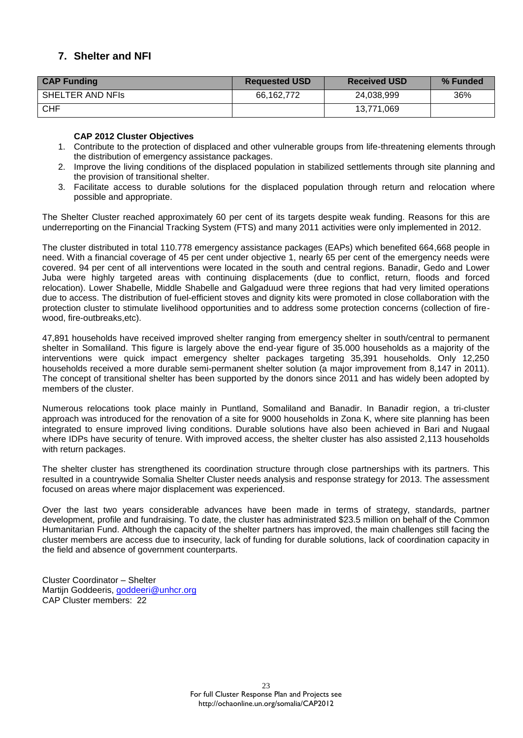# **7. Shelter and NFI**

| <b>CAP Funding</b> | <b>Requested USD</b> | <b>Received USD</b> | % Funded |
|--------------------|----------------------|---------------------|----------|
| SHELTER AND NFIS   | 66,162,772           | 24,038,999          | 36%      |
| CHF                |                      | 13,771,069          |          |

#### **CAP 2012 Cluster Objectives**

- 1. Contribute to the protection of displaced and other vulnerable groups from life-threatening elements through the distribution of emergency assistance packages.
- 2. Improve the living conditions of the displaced population in stabilized settlements through site planning and the provision of transitional shelter.
- 3. Facilitate access to durable solutions for the displaced population through return and relocation where possible and appropriate.

The Shelter Cluster reached approximately 60 per cent of its targets despite weak funding. Reasons for this are underreporting on the Financial Tracking System (FTS) and many 2011 activities were only implemented in 2012.

The cluster distributed in total 110.778 emergency assistance packages (EAPs) which benefited 664,668 people in need. With a financial coverage of 45 per cent under objective 1, nearly 65 per cent of the emergency needs were covered. 94 per cent of all interventions were located in the south and central regions. Banadir, Gedo and Lower Juba were highly targeted areas with continuing displacements (due to conflict, return, floods and forced relocation). Lower Shabelle, Middle Shabelle and Galgaduud were three regions that had very limited operations due to access. The distribution of fuel-efficient stoves and dignity kits were promoted in close collaboration with the protection cluster to stimulate livelihood opportunities and to address some protection concerns (collection of firewood, fire-outbreaks,etc).

47,891 households have received improved shelter ranging from emergency shelter in south/central to permanent shelter in Somaliland. This figure is largely above the end-year figure of 35.000 households as a majority of the interventions were quick impact emergency shelter packages targeting 35,391 households. Only 12,250 households received a more durable semi-permanent shelter solution (a major improvement from 8,147 in 2011). The concept of transitional shelter has been supported by the donors since 2011 and has widely been adopted by members of the cluster.

Numerous relocations took place mainly in Puntland, Somaliland and Banadir. In Banadir region, a tri-cluster approach was introduced for the renovation of a site for 9000 households in Zona K, where site planning has been integrated to ensure improved living conditions. Durable solutions have also been achieved in Bari and Nugaal where IDPs have security of tenure. With improved access, the shelter cluster has also assisted 2,113 households with return packages.

The shelter cluster has strengthened its coordination structure through close partnerships with its partners. This resulted in a countrywide Somalia Shelter Cluster needs analysis and response strategy for 2013. The assessment focused on areas where major displacement was experienced.

Over the last two years considerable advances have been made in terms of strategy, standards, partner development, profile and fundraising. To date, the cluster has administrated \$23.5 million on behalf of the Common Humanitarian Fund. Although the capacity of the shelter partners has improved, the main challenges still facing the cluster members are access due to insecurity, lack of funding for durable solutions, lack of coordination capacity in the field and absence of government counterparts.

Cluster Coordinator – Shelter Martijn Goddeeris, [goddeeri@unhcr.org](mailto:goddeeri@unhcr.org) CAP Cluster members: 22